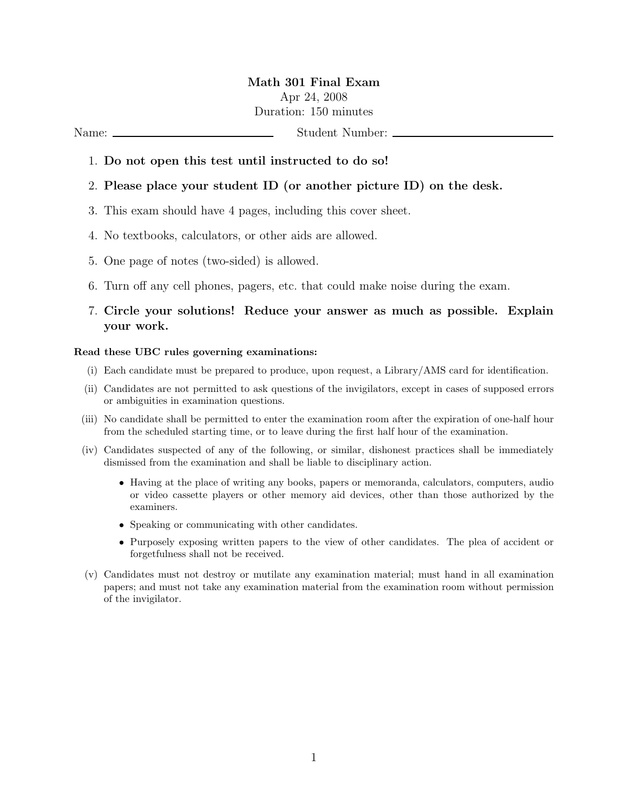# Math 301 Final Exam Apr 24, 2008 Duration: 150 minutes

Name: Student Number:

#### 1. Do not open this test until instructed to do so!

### 2. Please place your student ID (or another picture ID) on the desk.

- 3. This exam should have 4 pages, including this cover sheet.
- 4. No textbooks, calculators, or other aids are allowed.
- 5. One page of notes (two-sided) is allowed.
- 6. Turn off any cell phones, pagers, etc. that could make noise during the exam.

## 7. Circle your solutions! Reduce your answer as much as possible. Explain your work.

#### Read these UBC rules governing examinations:

- (i) Each candidate must be prepared to produce, upon request, a Library/AMS card for identification.
- (ii) Candidates are not permitted to ask questions of the invigilators, except in cases of supposed errors or ambiguities in examination questions.
- (iii) No candidate shall be permitted to enter the examination room after the expiration of one-half hour from the scheduled starting time, or to leave during the first half hour of the examination.
- (iv) Candidates suspected of any of the following, or similar, dishonest practices shall be immediately dismissed from the examination and shall be liable to disciplinary action.
	- Having at the place of writing any books, papers or memoranda, calculators, computers, audio or video cassette players or other memory aid devices, other than those authorized by the examiners.
	- Speaking or communicating with other candidates.
	- Purposely exposing written papers to the view of other candidates. The plea of accident or forgetfulness shall not be received.
- (v) Candidates must not destroy or mutilate any examination material; must hand in all examination papers; and must not take any examination material from the examination room without permission of the invigilator.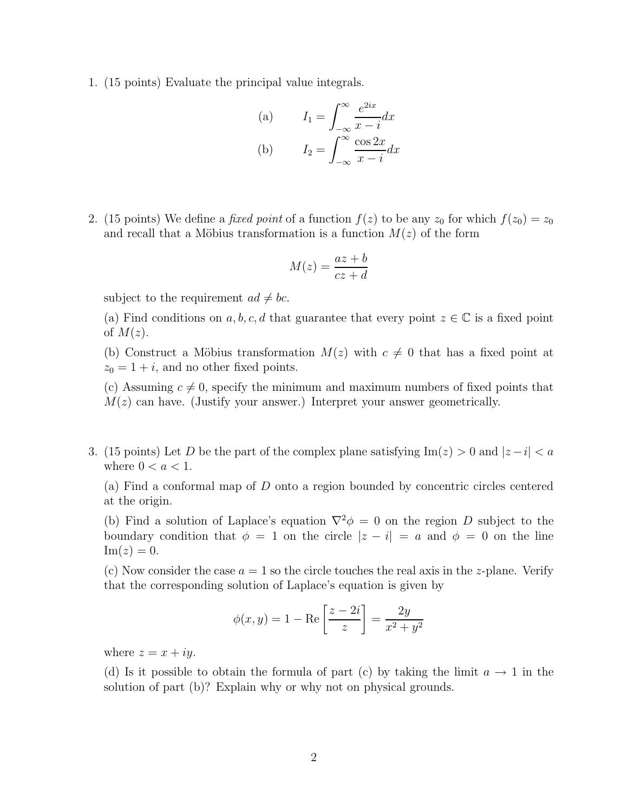1. (15 points) Evaluate the principal value integrals.

(a) 
$$
I_1 = \int_{-\infty}^{\infty} \frac{e^{2ix}}{x - i} dx
$$
  
\n(b) 
$$
I_2 = \int_{-\infty}^{\infty} \frac{\cos 2x}{x - i} dx
$$

2. (15 points) We define a *fixed point* of a function  $f(z)$  to be any  $z_0$  for which  $f(z_0) = z_0$ and recall that a Möbius transformation is a function  $M(z)$  of the form

$$
M(z) = \frac{az+b}{cz+d}
$$

subject to the requirement  $ad \neq bc$ .

(a) Find conditions on a, b, c, d that guarantee that every point  $z \in \mathbb{C}$  is a fixed point of  $M(z)$ .

(b) Construct a Möbius transformation  $M(z)$  with  $c \neq 0$  that has a fixed point at  $z_0 = 1 + i$ , and no other fixed points.

(c) Assuming  $c \neq 0$ , specify the minimum and maximum numbers of fixed points that  $M(z)$  can have. (Justify your answer.) Interpret your answer geometrically.

3. (15 points) Let D be the part of the complex plane satisfying  $\text{Im}(z) > 0$  and  $|z - i| < a$ where  $0 < a < 1$ .

(a) Find a conformal map of D onto a region bounded by concentric circles centered at the origin.

(b) Find a solution of Laplace's equation  $\nabla^2 \phi = 0$  on the region D subject to the boundary condition that  $\phi = 1$  on the circle  $|z - i| = a$  and  $\phi = 0$  on the line  $\text{Im}(z) = 0.$ 

(c) Now consider the case  $a = 1$  so the circle touches the real axis in the *z*-plane. Verify that the corresponding solution of Laplace's equation is given by

$$
\phi(x, y) = 1 - \text{Re}\left[\frac{z - 2i}{z}\right] = \frac{2y}{x^2 + y^2}
$$

where  $z = x + iy$ .

(d) Is it possible to obtain the formula of part (c) by taking the limit  $a \to 1$  in the solution of part (b)? Explain why or why not on physical grounds.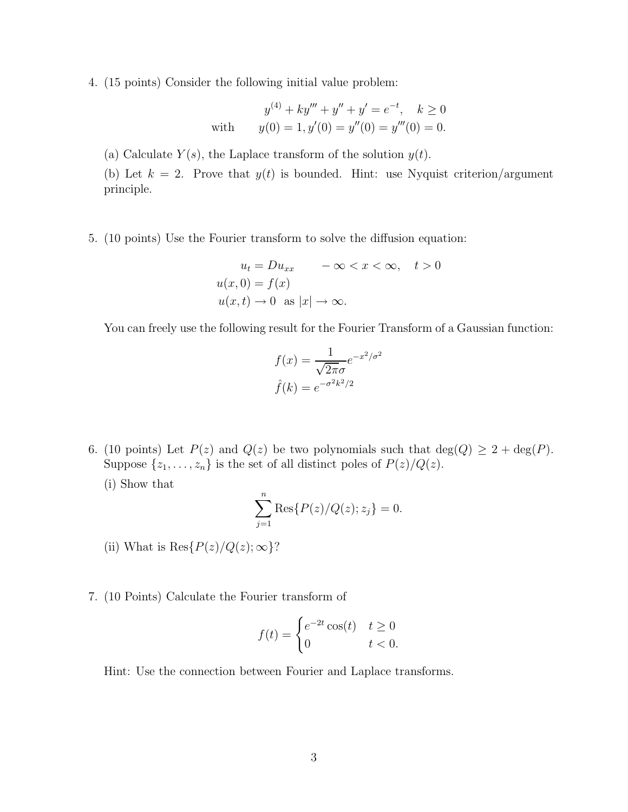4. (15 points) Consider the following initial value problem:

$$
y^{(4)} + ky''' + y'' + y' = e^{-t}, \quad k \ge 0
$$
  
with 
$$
y(0) = 1, y'(0) = y''(0) = y'''(0) = 0.
$$

(a) Calculate  $Y(s)$ , the Laplace transform of the solution  $y(t)$ .

(b) Let  $k = 2$ . Prove that  $y(t)$  is bounded. Hint: use Nyquist criterion/argument principle.

5. (10 points) Use the Fourier transform to solve the diffusion equation:

$$
u_t = Du_{xx} \quad -\infty < x < \infty, \quad t > 0
$$
\n
$$
u(x, 0) = f(x)
$$
\n
$$
u(x, t) \to 0 \quad \text{as } |x| \to \infty.
$$

You can freely use the following result for the Fourier Transform of a Gaussian function:

$$
f(x) = \frac{1}{\sqrt{2\pi}\sigma}e^{-x^2/\sigma^2}
$$

$$
\hat{f}(k) = e^{-\sigma^2 k^2/2}
$$

- 6. (10 points) Let  $P(z)$  and  $Q(z)$  be two polynomials such that  $deg(Q) \geq 2 + deg(P)$ . Suppose  $\{z_1, \ldots, z_n\}$  is the set of all distinct poles of  $P(z)/Q(z)$ .
	- (i) Show that

$$
\sum_{j=1}^{n} \text{Res}\{P(z)/Q(z); z_j\} = 0.
$$

- (ii) What is  $\text{Res}\{P(z)/Q(z);\infty\}$ ?
- 7. (10 Points) Calculate the Fourier transform of

$$
f(t) = \begin{cases} e^{-2t}\cos(t) & t \ge 0\\ 0 & t < 0. \end{cases}
$$

Hint: Use the connection between Fourier and Laplace transforms.